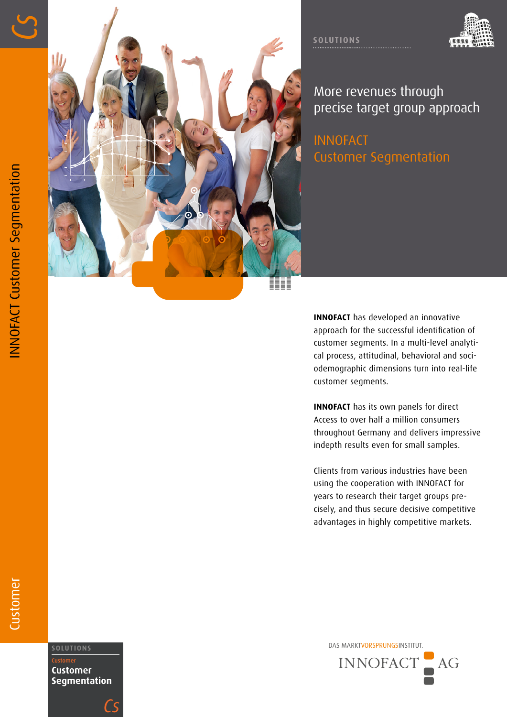





More revenues through precise target group approach

INNOFACT Customer Segmentation

**INNOFACT** has developed an innovative approach for the successful identification of customer segments. In a multi-level analyti cal process, attitudinal, behavioral and soci odemographic dimensions turn into real-life customer segments.

**INNOFACT** has its own panels for direct Access to over half a million consumers throughout Germany and delivers impressive indepth results even for small samples.

Clients from various industries have been using the cooperation with INNOFACT for years to research their target groups precisely, and thus secure decisive competitive advantages in highly competitive markets.

DAS MARKTVORSPRUNGSINSTITUT. **SOLUTIONS** INNOFACT  $AG$ 

## Customer

Customer **Customer Segmentation**

*Cs*